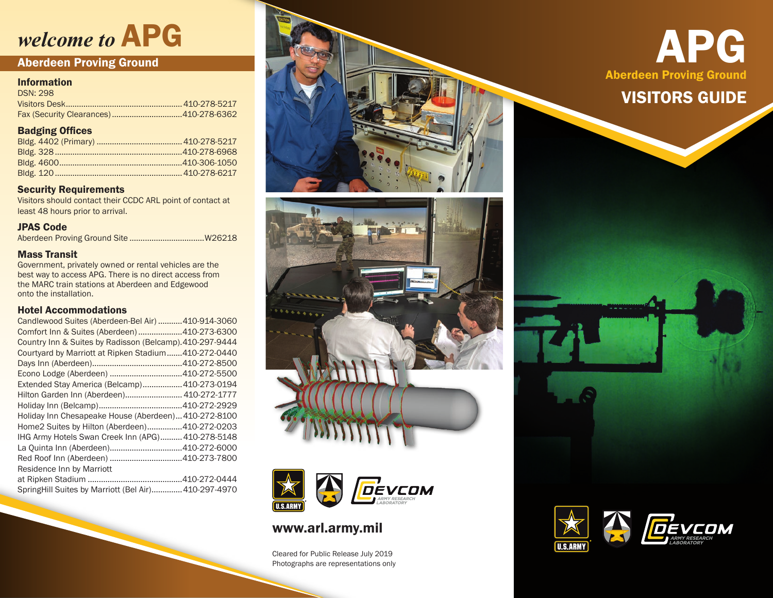## *welcome to* APG

### Aberdeen Proving Ground

### Information

| <b>DSN: 298</b> |  |
|-----------------|--|
|                 |  |
|                 |  |

### Badging Offices

### Security Requirements

Visitors should contact their CCDC ARL point of contact at least 48 hours prior to arrival.

### JPAS Code

Aberdeen Proving Ground Site ..................................W26218

### Mass Transit

Government, privately owned or rental vehicles are the best way to access APG. There is no direct access from the MARC train stations at Aberdeen and Edgewood onto the installation.

### Hotel Accommodations

| Candlewood Suites (Aberdeen-Bel Air) 410-914-3060        |  |
|----------------------------------------------------------|--|
| Comfort Inn & Suites (Aberdeen) 410-273-6300             |  |
| Country Inn & Suites by Radisson (Belcamp). 410-297-9444 |  |
| Courtyard by Marriott at Ripken Stadium410-272-0440      |  |
|                                                          |  |
|                                                          |  |
| Extended Stay America (Belcamp) 410-273-0194             |  |
| Hilton Garden Inn (Aberdeen) 410-272-1777                |  |
|                                                          |  |
| Holiday Inn Chesapeake House (Aberdeen) 410-272-8100     |  |
| Home2 Suites by Hilton (Aberdeen)410-272-0203            |  |
| IHG Army Hotels Swan Creek Inn (APG) 410-278-5148        |  |
|                                                          |  |
|                                                          |  |
| Residence Inn by Marriott                                |  |
|                                                          |  |
| Spring Hill Suites by Marriott (Bel Air) 410-297-4970    |  |





### www.arl.army.mil

Cleared for Public Release July 2019 Photographs are representations only

APG Aberdeen Proving Ground

## VISITORS GUIDE